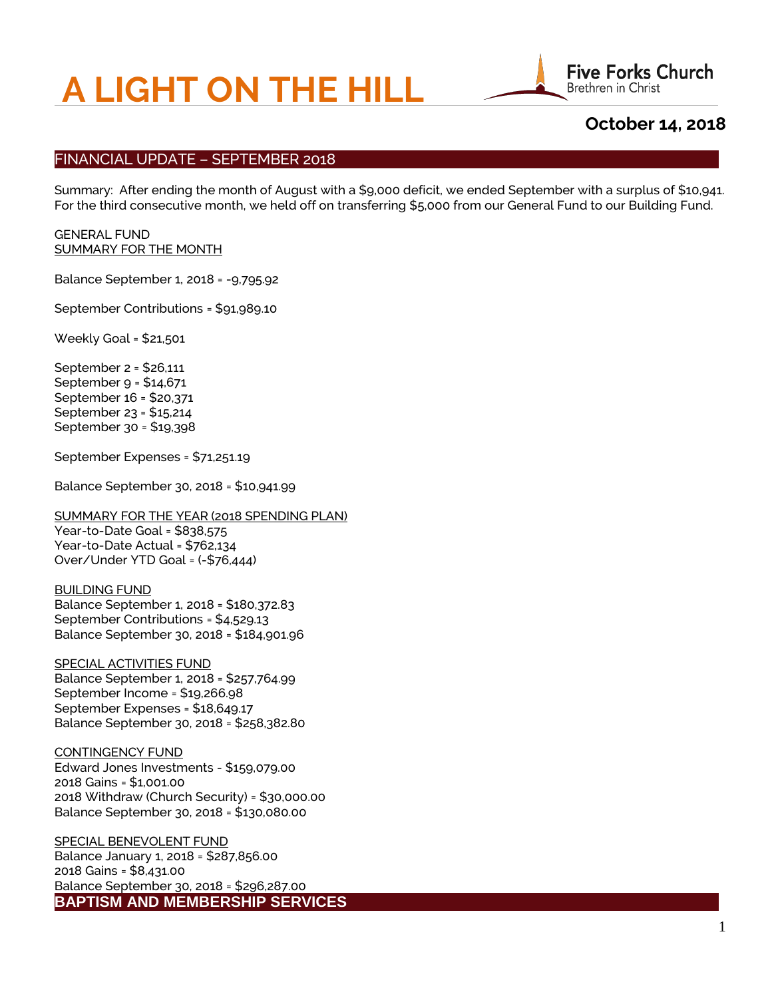# **A LIGHT ON THE HILL**



# **October 14, 2018**

## FINANCIAL UPDATE – SEPTEMBER 2018

Summary: After ending the month of August with a \$9,000 deficit, we ended September with a surplus of \$10,941. For the third consecutive month, we held off on transferring \$5,000 from our General Fund to our Building Fund.

#### GENERAL FUND SUMMARY FOR THE MONTH

Balance September 1, 2018 = -9,795.92

September Contributions = \$91,989.10

Weekly Goal = \$21,501

September 2 = \$26,111 September 9 = \$14,671 September 16 = \$20,371 September 23 = \$15,214 September 30 = \$19,398

September Expenses = \$71,251.19

Balance September 30, 2018 = \$10,941.99

SUMMARY FOR THE YEAR (2018 SPENDING PLAN) Year-to-Date Goal = \$838,575 Year-to-Date Actual = \$762,134 Over/Under YTD Goal = (-\$76,444)

#### BUILDING FUND

Balance September 1, 2018 = \$180,372.83 September Contributions = \$4,529.13 Balance September 30, 2018 = \$184,901.96

SPECIAL ACTIVITIES FUND Balance September 1, 2018 = \$257,764.99 September Income = \$19,266.98 September Expenses = \$18,649.17 Balance September 30, 2018 = \$258,382.80

#### CONTINGENCY FUND

Edward Jones Investments - \$159,079.00 2018 Gains = \$1,001.00 2018 Withdraw (Church Security) = \$30,000.00 Balance September 30, 2018 = \$130,080.00

SPECIAL BENEVOLENT FUND Balance January 1, 2018 = \$287,856.00 2018 Gains = \$8,431.00 Balance September 30, 2018 = \$296,287.00 **BAPTISM AND MEMBERSHIP SERVICES**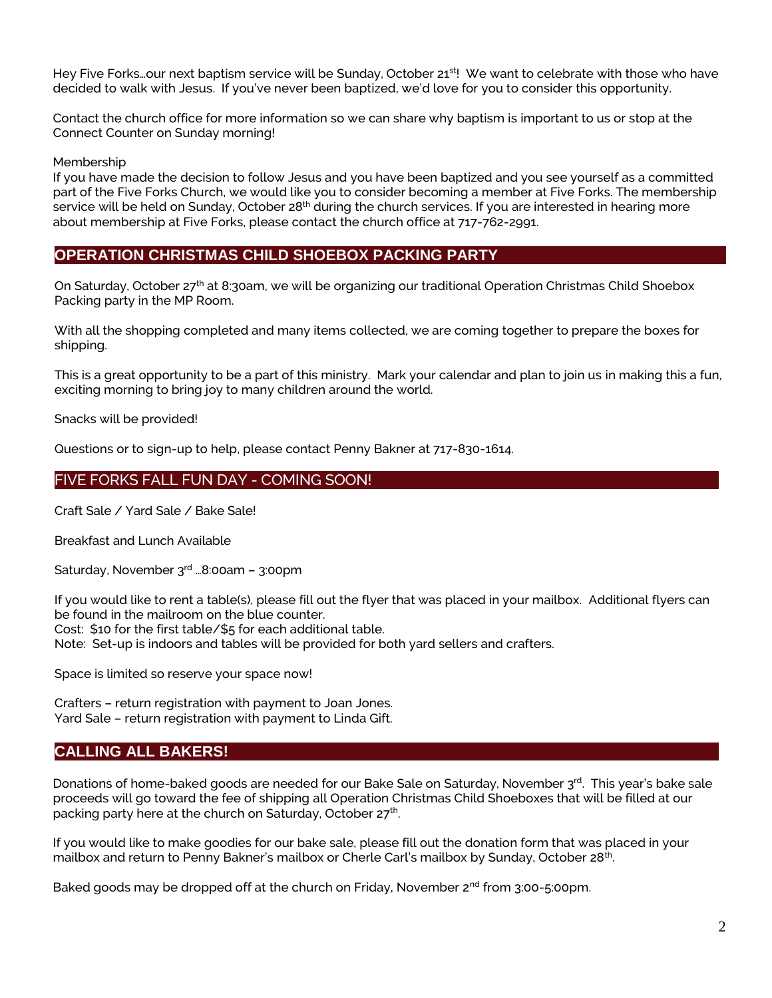Hey Five Forks…our next baptism service will be Sunday, October 21<sup>st!</sup> We want to celebrate with those who have decided to walk with Jesus. If you've never been baptized, we'd love for you to consider this opportunity.

Contact the church office for more information so we can share why baptism is important to us or stop at the Connect Counter on Sunday morning!

Membership

If you have made the decision to follow Jesus and you have been baptized and you see yourself as a committed part of the Five Forks Church, we would like you to consider becoming a member at Five Forks. The membership service will be held on Sunday, October 28<sup>th</sup> during the church services. If you are interested in hearing more about membership at Five Forks, please contact the church office at 717-762-2991.

# **OPERATION CHRISTMAS CHILD SHOEBOX PACKING PARTY**

On Saturday, October 27<sup>th</sup> at 8:30am, we will be organizing our traditional Operation Christmas Child Shoebox Packing party in the MP Room.

With all the shopping completed and many items collected, we are coming together to prepare the boxes for shipping.

This is a great opportunity to be a part of this ministry. Mark your calendar and plan to join us in making this a fun, exciting morning to bring joy to many children around the world.

Snacks will be provided!

Questions or to sign-up to help, please contact Penny Bakner at 717-830-1614.

# FIVE FORKS FALL FUN DAY - COMING SOON!

Craft Sale / Yard Sale / Bake Sale!

Breakfast and Lunch Available

Saturday, November  $3<sup>rd</sup>$  ...8:00am – 3:00pm

If you would like to rent a table(s), please fill out the flyer that was placed in your mailbox. Additional flyers can be found in the mailroom on the blue counter.

Cost: \$10 for the first table/\$5 for each additional table.

Note: Set-up is indoors and tables will be provided for both yard sellers and crafters.

Space is limited so reserve your space now!

Crafters – return registration with payment to Joan Jones. Yard Sale – return registration with payment to Linda Gift.

# **CALLING ALL BAKERS!**

Donations of home-baked goods are needed for our Bake Sale on Saturday, November 3rd. This year's bake sale proceeds will go toward the fee of shipping all Operation Christmas Child Shoeboxes that will be filled at our packing party here at the church on Saturday, October 27<sup>th</sup>.

If you would like to make goodies for our bake sale, please fill out the donation form that was placed in your mailbox and return to Penny Bakner's mailbox or Cherle Carl's mailbox by Sunday, October 28<sup>th</sup>.

Baked goods may be dropped off at the church on Friday, November 2<sup>nd</sup> from 3:00-5:00pm.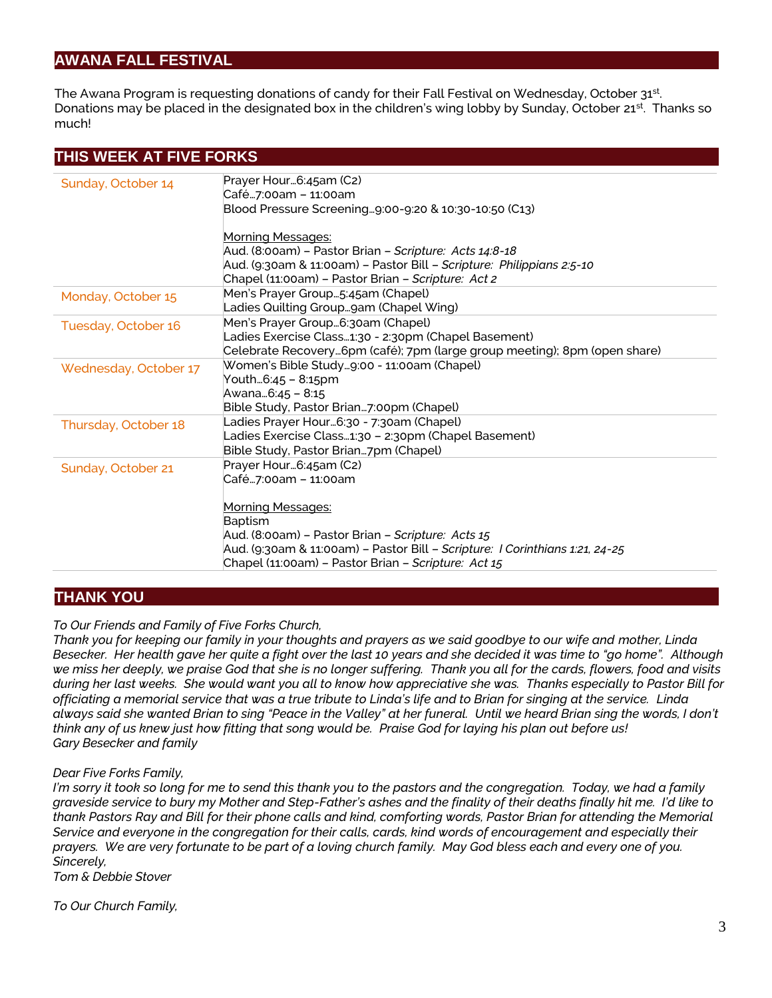# **AWANA FALL FESTIVAL**

The Awana Program is requesting donations of candy for their Fall Festival on Wednesday, October 31st. Donations may be placed in the designated box in the children's wing lobby by Sunday, October 21<sup>st</sup>. Thanks so much!

| THIS WEEK AT FIVE FORKS |                                                                                                                                                                                                                   |
|-------------------------|-------------------------------------------------------------------------------------------------------------------------------------------------------------------------------------------------------------------|
| Sunday, October 14      | Prayer Hour6:45am (C2)<br>Café…7:00am – 11:00am<br>Blood Pressure Screening9:00-9:20 & 10:30-10:50 (C13)                                                                                                          |
|                         | <b>Morning Messages:</b><br>Aud. (8:00am) - Pastor Brian - Scripture: Acts 14:8-18<br>Aud. (9:30am & 11:00am) - Pastor Bill - Scripture: Philippians 2:5-10<br>Chapel (11:00am) - Pastor Brian - Scripture: Act 2 |
| Monday, October 15      | Men's Prayer Group5:45am (Chapel)<br>Ladies Quilting Groupgam (Chapel Wing)                                                                                                                                       |
| Tuesday, October 16     | Men's Prayer Group6:30am (Chapel)<br>Ladies Exercise Class1:30 - 2:30pm (Chapel Basement)<br>Celebrate Recovery6pm (café); 7pm (large group meeting); 8pm (open share)                                            |
| Wednesday, October 17   | Women's Bible Study9:00 - 11:00am (Chapel)<br>Youth6:45 – 8:15pm<br>Awana6:45 - 8:15<br>Bible Study, Pastor Brian7:00pm (Chapel)                                                                                  |
| Thursday, October 18    | Ladies Prayer Hour6:30 - 7:30am (Chapel)<br>Ladies Exercise Class1:30 - 2:30pm (Chapel Basement)<br>Bible Study, Pastor Brian7pm (Chapel)                                                                         |
| Sunday, October 21      | Prayer Hour6:45am (C2)<br>Café…7:00am – 11:00am<br><b>Morning Messages:</b><br>Baptism<br>Aud. (8:00am) – Pastor Brian – Scripture: Acts 15                                                                       |
|                         | Aud. (9:30am & 11:00am) - Pastor Bill - Scripture: I Corinthians 1:21, 24-25<br>Chapel (11:00am) - Pastor Brian - Scripture: Act 15                                                                               |

# **THANK YOU**

## *To Our Friends and Family of Five Forks Church,*

*Thank you for keeping our family in your thoughts and prayers as we said goodbye to our wife and mother, Linda Besecker. Her health gave her quite a fight over the last 10 years and she decided it was time to "go home". Although we miss her deeply, we praise God that she is no longer suffering. Thank you all for the cards, flowers, food and visits during her last weeks. She would want you all to know how appreciative she was. Thanks especially to Pastor Bill for officiating a memorial service that was a true tribute to Linda's life and to Brian for singing at the service. Linda always said she wanted Brian to sing "Peace in the Valley" at her funeral. Until we heard Brian sing the words, I don't think any of us knew just how fitting that song would be. Praise God for laying his plan out before us! Gary Besecker and family*

#### *Dear Five Forks Family,*

*I'm sorry it took so long for me to send this thank you to the pastors and the congregation. Today, we had a family graveside service to bury my Mother and Step-Father's ashes and the finality of their deaths finally hit me. I'd like to thank Pastors Ray and Bill for their phone calls and kind, comforting words, Pastor Brian for attending the Memorial Service and everyone in the congregation for their calls, cards, kind words of encouragement and especially their prayers. We are very fortunate to be part of a loving church family. May God bless each and every one of you. Sincerely,*

*Tom & Debbie Stover*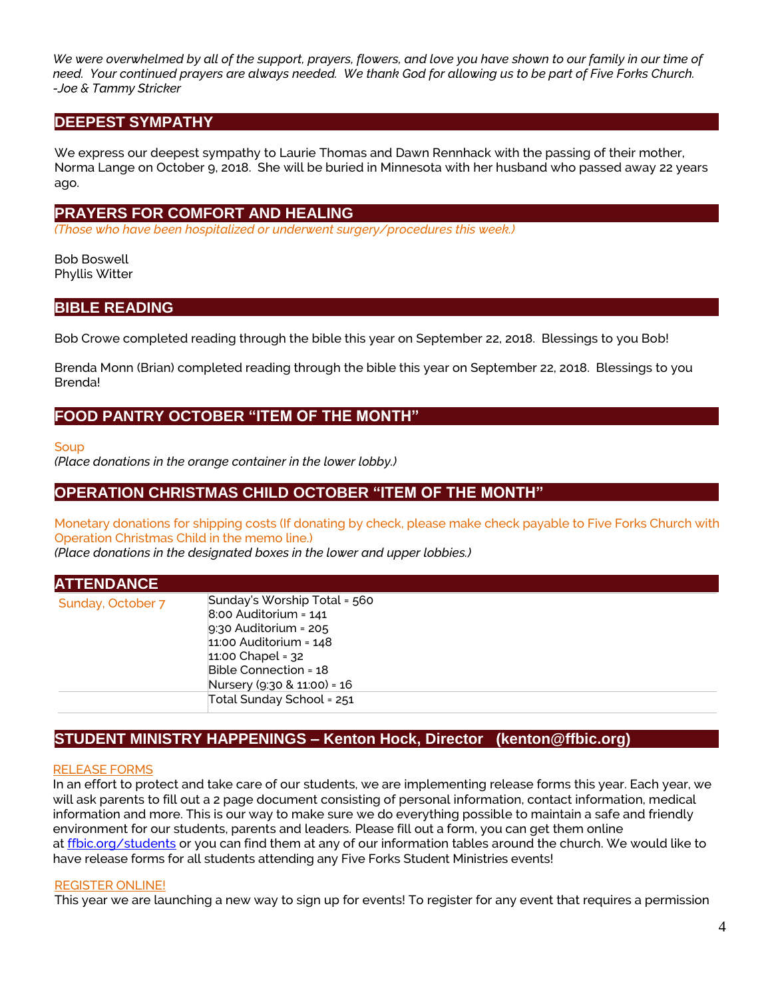*We were overwhelmed by all of the support, prayers, flowers, and love you have shown to our family in our time of need. Your continued prayers are always needed. We thank God for allowing us to be part of Five Forks Church. -Joe & Tammy Stricker*

# **DEEPEST SYMPATHY**

We express our deepest sympathy to Laurie Thomas and Dawn Rennhack with the passing of their mother, Norma Lange on October 9, 2018. She will be buried in Minnesota with her husband who passed away 22 years ago.

## **PRAYERS FOR COMFORT AND HEALING**

*(Those who have been hospitalized or underwent surgery/procedures this week.)*

Bob Boswell Phyllis Witter

## **BIBLE READING**

Bob Crowe completed reading through the bible this year on September 22, 2018. Blessings to you Bob!

Brenda Monn (Brian) completed reading through the bible this year on September 22, 2018. Blessings to you Brenda!

## **FOOD PANTRY OCTOBER "ITEM OF THE MONTH"**

**Soup** 

*(Place donations in the orange container in the lower lobby.)*

## **OPERATION CHRISTMAS CHILD OCTOBER "ITEM OF THE MONTH"**

Monetary donations for shipping costs (If donating by check, please make check payable to Five Forks Church with Operation Christmas Child in the memo line.)

*(Place donations in the designated boxes in the lower and upper lobbies.)*

| <b>ATTENDANCE</b> |                                                                                                                                                                                                     |
|-------------------|-----------------------------------------------------------------------------------------------------------------------------------------------------------------------------------------------------|
| Sunday, October 7 | Sunday's Worship Total = 560<br>$8:00$ Auditorium = $141$<br>$9:30$ Auditorium = 205<br>$11:00$ Auditorium = $148$<br>$11:00$ Chapel = $32$<br>Bible Connection = 18<br>Nursery (9:30 & 11:00) = 16 |
|                   | Total Sunday School = 251                                                                                                                                                                           |

# **STUDENT MINISTRY HAPPENINGS – Kenton Hock, Director (kenton@ffbic.org)**

## RELEASE FORMS

In an effort to protect and take care of our students, we are implementing release forms this year. Each year, we will ask parents to fill out a 2 page document consisting of personal information, contact information, medical information and more. This is our way to make sure we do everything possible to maintain a safe and friendly environment for our students, parents and leaders. Please fill out a form, you can get them online at [ffbic.org/students](http://ffbic.org/students) or you can find them at any of our information tables around the church. We would like to have release forms for all students attending any Five Forks Student Ministries events!

#### REGISTER ONLINE!

This year we are launching a new way to sign up for events! To register for any event that requires a permission